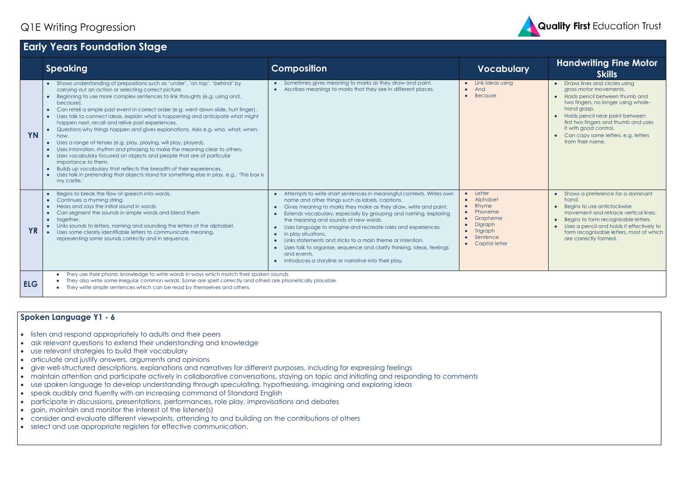#### **Early Years Foundation Stage**

|            | <b>Speaking</b>                                                                                                                                                                                                                                                                                                                                                                                                                                                                                                                                                                                                                                                                                                                                                                                                                                                                                                                                                                            | <b>Composition</b>                                                                                                                                                                                                                                                                                                                                                                                                                                                                                                                                                                                                                                                | <b>Vocabulary</b>                                                                                                                                                                     | <b>Handwriting Fine Motor</b><br><b>Skills</b>                                                                                                                                                                                                                                                                         |
|------------|--------------------------------------------------------------------------------------------------------------------------------------------------------------------------------------------------------------------------------------------------------------------------------------------------------------------------------------------------------------------------------------------------------------------------------------------------------------------------------------------------------------------------------------------------------------------------------------------------------------------------------------------------------------------------------------------------------------------------------------------------------------------------------------------------------------------------------------------------------------------------------------------------------------------------------------------------------------------------------------------|-------------------------------------------------------------------------------------------------------------------------------------------------------------------------------------------------------------------------------------------------------------------------------------------------------------------------------------------------------------------------------------------------------------------------------------------------------------------------------------------------------------------------------------------------------------------------------------------------------------------------------------------------------------------|---------------------------------------------------------------------------------------------------------------------------------------------------------------------------------------|------------------------------------------------------------------------------------------------------------------------------------------------------------------------------------------------------------------------------------------------------------------------------------------------------------------------|
| <b>YN</b>  | • Shows understanding of prepositions such as 'under', 'on top', 'behind' by<br>carrying out an action or selecting correct picture.<br>Beginning to use more complex sentences to link thoughts (e.g. using and,<br>because).<br>Can retell a simple past event in correct order (e.g. went down slide, hurt finger).<br>Uses talk to connect ideas, explain what is happening and anticipate what might<br>happen next, recall and relive past experiences.<br>Questions why things happen and gives explanations. Asks e.g. who, what, when,<br>how.<br>Uses a range of tenses (e.g. play, playing, will play, played).<br>Uses intonation, rhythm and phrasing to make the meaning clear to others.<br>Uses vocabulary focused on objects and people that are of particular<br>importance to them.<br>Builds up vocabulary that reflects the breadth of their experiences.<br>Uses talk in pretending that objects stand for something else in play, e.g., 'This box is<br>my castle.' | • Sometimes gives meaning to marks as they draw and paint.<br>Ascribes meanings to marks that they see in different places.<br>$\bullet$                                                                                                                                                                                                                                                                                                                                                                                                                                                                                                                          | • Link ideas using<br>And<br>$\bullet$<br>Because<br>$\bullet$                                                                                                                        | • Draws lines and circles using<br>gross motor movements.<br>• Holds pencil between thumb and<br>two fingers, no longer using whole-<br>hand grasp.<br>• Holds pencil near point between<br>first two fingers and thumb and uses<br>it with good control.<br>• Can copy some letters, e.g. letters<br>from their name. |
| <b>YR</b>  | Begins to break the flow of speech into words.<br>Continues a rhyming string.<br>Hears and says the initial sound in words.<br>Can segment the sounds in simple words and blend them<br>together.<br>$\bullet$<br>Links sounds to letters, naming and sounding the letters of the alphabet.<br>Uses some clearly identifiable letters to communicate meaning,<br>$\bullet$<br>representing some sounds correctly and in sequence.                                                                                                                                                                                                                                                                                                                                                                                                                                                                                                                                                          | • Attempts to write short sentences in meaningful contexts. Writes own<br>name and other things such as labels, captions.<br>Gives meaning to marks they make as they draw, write and paint.<br>$\bullet$<br>Extends vocabulary, especially by grouping and naming, exploring<br>the meaning and sounds of new words.<br>Uses language to imagine and recreate roles and experiences<br>$\bullet$<br>in play situations.<br>$\bullet$<br>Links statements and sticks to a main theme or intention.<br>Uses talk to organise, sequence and clarify thinking, ideas, feelings<br>$\bullet$<br>and events.<br>• Introduces a storyline or narrative into their play. | Letter<br>$\bullet$<br>Alphabet<br>Rhyme<br>$\bullet$<br>Phoneme<br>$\bullet$<br>Grapheme<br>$\bullet$<br>Digraph<br>$\bullet$<br>Trigraph<br>Sentence<br>Capital letter<br>$\bullet$ | • Shows a preference for a dominant<br>hand.<br>• Begins to use anticlockwise<br>movement and retrace vertical lines.<br>• Begins to form recognisable letters.<br>• Uses a pencil and holds it effectively to<br>form recognisable letters, most of which<br>are correctly formed.                                    |
| <b>ELG</b> | They use their phonic knowledge to write words in ways which match their spoken sounds.<br>They also write some irregular common words. Some are spelt correctly and others are phonetically plausible.<br>They write simple sentences which can be read by themselves and others.                                                                                                                                                                                                                                                                                                                                                                                                                                                                                                                                                                                                                                                                                                         |                                                                                                                                                                                                                                                                                                                                                                                                                                                                                                                                                                                                                                                                   |                                                                                                                                                                                       |                                                                                                                                                                                                                                                                                                                        |

#### **Spoken Language Y1 - 6**

- listen and respond appropriately to adults and their peers
- ask relevant questions to extend their understanding and knowledge
- use relevant strategies to build their vocabulary
- articulate and justify answers, arguments and opinions
- give well-structured descriptions, explanations and narratives for different purposes, including for expressing feelings
- maintain attention and participate actively in collaborative conversations, staying on topic and initiating and responding to comments
- use spoken language to develop understanding through speculating, hypothesising, imagining and exploring ideas
- speak audibly and fluently with an increasing command of Standard English
- participate in discussions, presentations, performances, role play, improvisations and debates
- gain, maintain and monitor the interest of the listener(s)
- consider and evaluate different viewpoints, attending to and building on the contributions of others
- select and use appropriate registers for effective communication.

**Quality First Education Trust**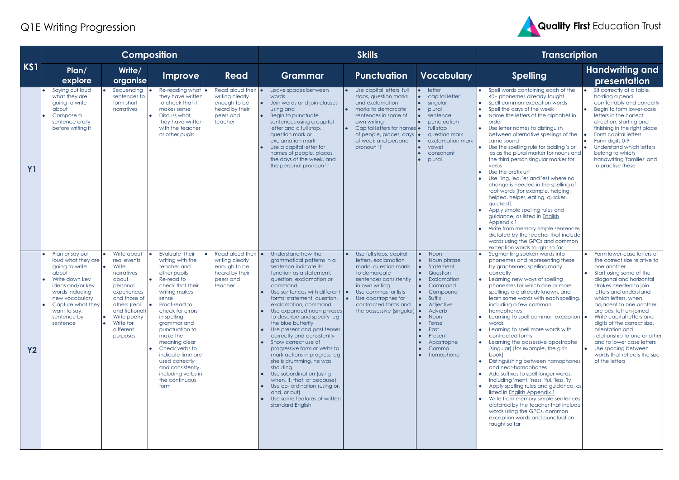|           | <b>Composition</b>                                                                                                                                                                                          |                                                                                                                                                                                               |                                                                                                                                                                                                                                                                                                                                                                               |                                                                                                        |                                                                                                                                                                                                                                                                                                                                                                                                                                                                                                                                                                                                                                                                                 | <b>Skills</b>                                                                                                                                                                                                                                           | <b>Transcription</b>                                                                                                                                                                                      |                                                                                                                                                                                                                                                                                                                                                                                                                                                                                                                                                                                                                                                                                                                                                                                                                                                                                                             |                                                                                                                                                                                                                                                                                                                                                                                                                                                                                                |
|-----------|-------------------------------------------------------------------------------------------------------------------------------------------------------------------------------------------------------------|-----------------------------------------------------------------------------------------------------------------------------------------------------------------------------------------------|-------------------------------------------------------------------------------------------------------------------------------------------------------------------------------------------------------------------------------------------------------------------------------------------------------------------------------------------------------------------------------|--------------------------------------------------------------------------------------------------------|---------------------------------------------------------------------------------------------------------------------------------------------------------------------------------------------------------------------------------------------------------------------------------------------------------------------------------------------------------------------------------------------------------------------------------------------------------------------------------------------------------------------------------------------------------------------------------------------------------------------------------------------------------------------------------|---------------------------------------------------------------------------------------------------------------------------------------------------------------------------------------------------------------------------------------------------------|-----------------------------------------------------------------------------------------------------------------------------------------------------------------------------------------------------------|-------------------------------------------------------------------------------------------------------------------------------------------------------------------------------------------------------------------------------------------------------------------------------------------------------------------------------------------------------------------------------------------------------------------------------------------------------------------------------------------------------------------------------------------------------------------------------------------------------------------------------------------------------------------------------------------------------------------------------------------------------------------------------------------------------------------------------------------------------------------------------------------------------------|------------------------------------------------------------------------------------------------------------------------------------------------------------------------------------------------------------------------------------------------------------------------------------------------------------------------------------------------------------------------------------------------------------------------------------------------------------------------------------------------|
| KS1       | Plan/<br>explore                                                                                                                                                                                            | Write/<br>organise                                                                                                                                                                            | <b>Improve</b>                                                                                                                                                                                                                                                                                                                                                                | <b>Read</b>                                                                                            | <b>Grammar</b>                                                                                                                                                                                                                                                                                                                                                                                                                                                                                                                                                                                                                                                                  | Punctuation                                                                                                                                                                                                                                             | <b>Vocabulary</b>                                                                                                                                                                                         | <b>Spelling</b>                                                                                                                                                                                                                                                                                                                                                                                                                                                                                                                                                                                                                                                                                                                                                                                                                                                                                             | <b>Handwriting and</b><br>presentation                                                                                                                                                                                                                                                                                                                                                                                                                                                         |
| <b>Y1</b> | Saying out loud<br>what they are<br>going to write<br>about<br>Compose a<br>sentence orally<br>before writing it                                                                                            | Sequencing<br>sentences to<br>form short<br>narratives                                                                                                                                        | Re-reading what •<br>they have writter<br>to check that it<br>makes sense<br>Discuss what<br>they have written<br>with the teacher<br>or other pupils                                                                                                                                                                                                                         | Read aloud their <b>.</b><br>writing clearly<br>enough to be<br>heard by their<br>peers and<br>teacher | Leave spaces between<br>words<br>Join words and join clauses<br>using and<br>Begin to punctuate<br>sentences using a capital<br>letter and a full stop,<br>question mark or<br>exclamation mark<br>Use a capital letter for<br>names of people, places,<br>the days of the week, and<br>the personal pronoun 'l'                                                                                                                                                                                                                                                                                                                                                                | Use capital letters, full<br>stops, question marks<br>and exclamation<br>marks to demarcate<br>sentences in some of<br>own writing<br>Capital letters for names •<br>of people, places, days<br>of week and personal<br>pronoun 'l'                     | letter<br>capital letter<br>singular<br>plural<br>sentence<br>punctuation<br>$\bullet$<br>full stop<br>question mark<br>exclamation mark<br>vowel<br>$\bullet$<br>consonant<br>plural                     | Spell words containing each of the<br>40+ phonemes already taught<br>Spell common exception words<br>Spell the days of the week<br>Name the letters of the alphabet in<br>order<br>Use letter names to distinguish<br>between alternative spellings of the<br>same sound<br>Use the spelling rule for adding 's or<br>'es as the plural marker for nouns and<br>the third person singular marker for<br>verbs<br>Use the prefix un'<br>Use 'ing, 'ed, 'er and 'est where no<br>change is needed in the spelling of<br>root words [for example, helping,<br>helped, helper, eating, quicker,<br>quickest]<br>Apply simple spelling rules and<br>guidance, as listed in <b>English</b><br>Appendix 1<br>Write from memory simple sentences<br>dictated by the teacher that include<br>words using the GPCs and common<br>exception words taught so far                                                        | Sit correctly at a table,<br>holding a pencil<br>comfortably and correctly<br>Begin to form lower-case<br>letters in the correct<br>direction, starting and<br>finishing in the right place<br>Form capital letters<br>Form digits 0-9<br><b>Understand which letters</b><br>belong to which<br>handwriting 'families' and<br>to practise these                                                                                                                                                |
| <b>Y2</b> | Plan or say out<br>loud what they are<br>going to write<br>about<br>Write down key<br>ideas and/or key<br>words including<br>new vocabulary<br>Capture what they<br>want to say,<br>sentence by<br>sentence | Write about<br>real events<br>Write<br>narratives<br>about<br>personal<br>experiences<br>and those of<br>others (real<br>and fictional)<br>Write poetry<br>Write for<br>different<br>purposes | Evaluate their<br>writing with the<br>teacher and<br>other pupils<br>Re-read to<br>check that their<br>writing makes<br>sense<br>Proof-read to<br>check for errors<br>in spelling,<br>grammar and<br>punctuation to<br>make the<br>meaning clear<br>Check verbs to<br>indicate time are<br>used correctly<br>and consistently<br>including verbs in<br>the continuous<br>form | Read aloud their<br>writing clearly<br>enough to be<br>heard by their<br>peers and<br>teacher          | Understand how the<br>grammatical patterns in a<br>sentence indicate its<br>function as a statement,<br>question, exclamation or<br>command<br>Use sentences with different<br>forms: statement, question,<br>exclamation, command<br>Use expanded noun phrases<br>to describe and specify eg<br>the blue butterfly<br>• Use present and past tenses<br>correctly and consistently<br>Show correct use of<br>progressive form or verbs to<br>mark actions in progress eg<br>she is drumming, he was<br>shouting<br>Use subordination (using<br>when, if, that, or because)<br>Use co- ordination (using or,<br>and, or but)<br>Use some features of written<br>standard English | • Use full stops, capital<br>letters, exclamation<br>marks, question marks<br>to demarcate<br>sentences consistently<br>in own writing<br>Use commas for lists<br>Use apostrophes for<br>$\bullet$<br>contracted forms and<br>the possessive (singular) | Noun<br>• Noun phrase<br>Statement<br>Question<br>Exclamation<br>Command<br>Compound<br>$\bullet$ Suffix<br>Adjective<br>Adverb<br>Noun<br>Tense<br>Past<br>Present<br>Apostrophe<br>Comma<br>• homophone | Segmenting spoken words into<br>phonemes and representing these<br>by graphemes, spelling many<br>correctly<br>Learning new ways of spelling<br>phonemes for which one or more<br>spellings are already known, and<br>learn some words with each spelling,<br>including a few common<br>homophones<br>Learning to spell common exception $\bullet$<br>words<br>Learning to spell more words with<br>contracted forms<br>Learning the possessive apostrophe<br>(singular) [for example, the girl's<br>book]<br>Distinguishing between homophones<br>and near-homophones<br>Add suffixes to spell longer words,<br>including 'ment, 'ness, 'ful, 'less, 'ly<br>Apply spelling rules and guidance, as<br>listed in <b>English Appendix 1</b><br>Write from memory simple sentences<br>dictated by the teacher that include<br>words using the GPCs, common<br>exception words and punctuation<br>taught so far | Form lower-case letters of<br>the correct size relative to<br>one another<br>• Start using some of the<br>diagonal and horizontal<br>strokes needed to join<br>letters and understand<br>which letters, when<br>adjacent to one another,<br>are best left un-joined<br>Write capital letters and<br>digits of the correct size,<br>orientation and<br>relationship to one another<br>and to lower case letters<br><b>Use spacing between</b><br>words that reflects the size<br>of the letters |

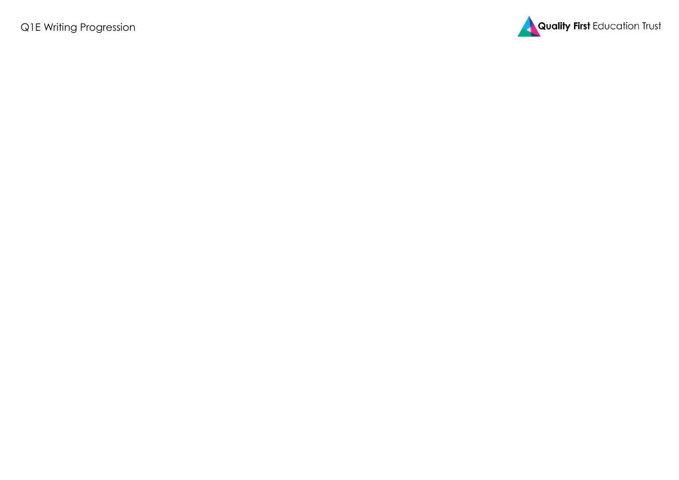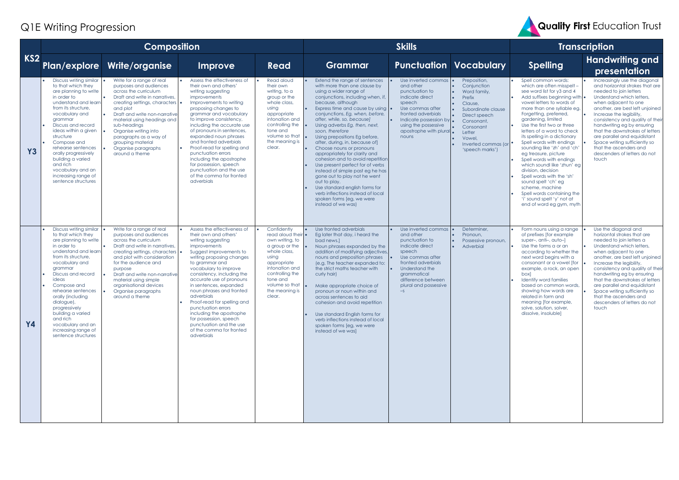|                 |                                                                                                                                                                                                                                                                                                                                                                                               | <b>Composition</b>                                                                                                                                                                                                                                                                                                                                           |                                                                                                                                                                                                                                                                                                                                                                                                                                                                                                                    |                                                                                                                                                                                                             |                                                                                                                                                                                                                                                                                                                                                                                                                                                                                                                                                                                                                                                                                                                                  | <b>Transcription</b>                                                                                                                                                                                              |                                                                                                                                                                                                  |                                                                                                                                                                                                                                                                                                                                                                                                                                                                                                                                                                                                                                                          |                                                                                                                                                                              |
|-----------------|-----------------------------------------------------------------------------------------------------------------------------------------------------------------------------------------------------------------------------------------------------------------------------------------------------------------------------------------------------------------------------------------------|--------------------------------------------------------------------------------------------------------------------------------------------------------------------------------------------------------------------------------------------------------------------------------------------------------------------------------------------------------------|--------------------------------------------------------------------------------------------------------------------------------------------------------------------------------------------------------------------------------------------------------------------------------------------------------------------------------------------------------------------------------------------------------------------------------------------------------------------------------------------------------------------|-------------------------------------------------------------------------------------------------------------------------------------------------------------------------------------------------------------|----------------------------------------------------------------------------------------------------------------------------------------------------------------------------------------------------------------------------------------------------------------------------------------------------------------------------------------------------------------------------------------------------------------------------------------------------------------------------------------------------------------------------------------------------------------------------------------------------------------------------------------------------------------------------------------------------------------------------------|-------------------------------------------------------------------------------------------------------------------------------------------------------------------------------------------------------------------|--------------------------------------------------------------------------------------------------------------------------------------------------------------------------------------------------|----------------------------------------------------------------------------------------------------------------------------------------------------------------------------------------------------------------------------------------------------------------------------------------------------------------------------------------------------------------------------------------------------------------------------------------------------------------------------------------------------------------------------------------------------------------------------------------------------------------------------------------------------------|------------------------------------------------------------------------------------------------------------------------------------------------------------------------------|
| KS <sub>2</sub> | Plan/explore                                                                                                                                                                                                                                                                                                                                                                                  | Write/organise                                                                                                                                                                                                                                                                                                                                               | <b>Improve</b>                                                                                                                                                                                                                                                                                                                                                                                                                                                                                                     | Read                                                                                                                                                                                                        | Grammar                                                                                                                                                                                                                                                                                                                                                                                                                                                                                                                                                                                                                                                                                                                          |                                                                                                                                                                                                                   | <b>Punctuation Vocabulary</b>                                                                                                                                                                    | <b>Spelling</b>                                                                                                                                                                                                                                                                                                                                                                                                                                                                                                                                                                                                                                          | <b>Handv</b><br>pres                                                                                                                                                         |
| <b>Y3</b>       | Discuss writing similar<br>to that which they<br>are planning to write<br>in order to<br>understand and learn<br>from its structure.<br>vocabulary and<br>grammar<br>Discuss and record<br>ideas within a given<br>structure<br>Compose and<br>rehearse sentences<br>orally progressively<br>building a varied<br>and rich<br>vocabulary and an<br>increasing range of<br>sentence structures | Write for a range of real<br>purposes and audiences<br>across the curriculum<br>Draft and write in narratives.<br>creating settings, characters<br>and plot<br>Draft and write non-narrative<br>material using headings and<br>sub-headings<br>Organise writing into<br>paragraphs as a way of<br>grouping material<br>Organise paragraphs<br>around a theme | Assess the effectiveness of<br>their own and others'<br>writing suggesting<br><i>improvements</i><br>Improvements to writing<br>proposing changes to<br>grammar and vocabulary<br>to improve consistency,<br>including the accurate use<br>of pronouns in sentences,<br>expanded noun phrases<br>and fronted adverbials<br>Proof-read for spelling and<br>punctuation errors<br>including the apostrophe<br>for possession, speech<br>punctuation and the use<br>of the comma for fronted<br>adverbials            | Read aloud<br>their own<br>writing, to a<br>group or the<br>whole class,<br>using<br>appropriate<br>intonation and<br>controlling the<br>tone and<br>volume so that<br>the meaning is<br>clear.             | Extend the range of sentences<br>with more than one clause by<br>using a wider range of<br>conjunctions, including when, if<br>because, although<br>Express time and cause by using •<br>conjunctions, Eg, when, before,<br>after, while, so, becausel<br>Using adverbs Eg, then, next,<br>soon, therefore<br>Using prepositions Eg before,<br>after, during, in, because of]<br>Choose nouns or pronouns<br>appropriately for clarity and<br>cohesion and to avoid repetition<br>Use present perfect for of verbs<br>instead of simple past eg he has<br>gone out to play not he went<br>out to play.<br>Use standard english forms for<br>verb inflections instead of local<br>spoken forms [eg, we were<br>instead of we was) | Use inverted commas<br>and other<br>punctuation to<br>indicate direct<br>speech<br>Use commas after<br>fronted adverbials<br>Indicate possession by<br>using the possessive<br>apostrophe with plural<br>nouns    | Preposition,<br>Conjunction<br>Word family,<br>Prefix<br>Clause,<br>Subordinate clause<br>Direct speech<br>Consonant,<br>Consonant<br>Letter<br>Vowel,<br>Inverted commas (or<br>'speech marks') | Spell common words:<br>which are often misspelt -<br>see word list for y3 and 4<br>Add suffixes beginning with<br>vowel letters to words of<br>more than one syllable eg.<br>Forgetting, preferred,<br>gardening, limited<br>Use the first two or three<br>letters of a word to check<br>its spelling in a dictionary<br>Spell words with endings<br>sounding like 'zh' and 'ch'<br>eg treasure, picture<br>Spell words with endings<br>which soundl like 'zhun' eg<br>division, decision<br>Spell words with the 'sh'<br>sound spelt 'ch' eg<br>scheme, machine<br>Spell words containing the<br>'i' sound spelt 'y' not at<br>end of word eg gym, myth | Increasin<br>and horiz<br>needed<br>Understa<br>when ad<br>another,<br>Increase<br>consister<br>handwrit<br>that the<br>are para<br>Space w<br>that the<br>descend<br>touch  |
| <b>Y4</b>       | Discuss writing similar<br>to that which they<br>are planning to write<br>in order to<br>understand and learn<br>from its structure,<br>vocabulary and<br>grammar<br>Discuss and record<br>ideas<br>Compose and<br>rehearse sentences<br>orally (including<br>dialogue),<br>progressively<br>building a varied<br>and rich<br>vocabulary and an<br>increasing range of<br>sentence structures | Write for a range of real<br>purposes and audiences<br>across the curriculum<br>Draft and write in narratives.<br>creating settings, characters<br>and plot with consideration<br>for the audience and<br>purpose<br>Draft and write non-narrative<br>material using simple<br>organisational devices<br>Organise paragraphs<br>around a theme               | Assess the effectiveness of<br>their own and others'<br>writing suggesting<br><i>improvements</i><br>Suggest improvements to<br>writing proposing changes<br>to grammar and<br>vocabulary to improve<br>consistency, including the<br>accurate use of pronouns<br>in sentences, expanded<br>noun phrases and fronted<br>adverbials<br>Proof-read for spelling and<br>punctuation errors<br>including the apostrophe<br>for possession, speech<br>punctuation and the use<br>of the comma for fronted<br>adverbials | Confidently<br>read aloud their<br>own writing, to<br>a group or the<br>whole class,<br>using<br>appropriate<br>intonation and<br>controlling the<br>tone and<br>volume so that<br>the meaning is<br>clear. | Use fronted adverbials<br>Eg later that day, i heard the<br>bad news.<br>Noun phrases expanded by the<br>addition of modifying adjectives,<br>nouns and preposition phrases<br>(e.g. The teacher expanded to:<br>the strict maths teacher with<br>curly hair)<br>Make appropriate choice of<br>pronoun or noun within and<br>across sentences to aid<br>cohesion and avoid repetition<br>Use standard English forms for<br>verb inflections instead of local<br>spoken forms [eg, we were<br>instead of we was]                                                                                                                                                                                                                  | Use inverted commas<br>and other<br>punctuation to<br>indicate direct<br>speech<br>Use commas after<br>fronted adverbials<br>Understand the<br>grammatical<br>difference between<br>plural and possessive<br>$-S$ | Determiner,<br>Pronoun,<br>Possessive pronoun,<br>Adverbial                                                                                                                                      | Form nouns using a range<br>of prefixes [for example<br>super-, anti-, auto-1<br>Use the forms a or an<br>according to whether the<br>next word begins with a<br>consonant or a vowel [for<br>example, a rock, an open<br>boxl<br>Identify word families<br>based on common words,<br>showing how words are<br>related in form and<br>meaning [for example,<br>solve, solution, solver,<br>dissolve, insoluble]                                                                                                                                                                                                                                          | Use the c<br>horizonto<br>needed<br>Understa<br>when ad<br>another,<br>Increase<br>consister<br>handwriti<br>that the<br>are para<br>Space w<br>that the<br>descend<br>touch |

## **Quality First Education Trust**

| <b>Spelling</b>                                                                                                                                                                                                                                                                                                                                                                                                                                                                                                                                                                                                                                          | Handwriting and                                                                                                                                                                                                                                                                                                                                                                                                                                                        |  |  |  |  |  |
|----------------------------------------------------------------------------------------------------------------------------------------------------------------------------------------------------------------------------------------------------------------------------------------------------------------------------------------------------------------------------------------------------------------------------------------------------------------------------------------------------------------------------------------------------------------------------------------------------------------------------------------------------------|------------------------------------------------------------------------------------------------------------------------------------------------------------------------------------------------------------------------------------------------------------------------------------------------------------------------------------------------------------------------------------------------------------------------------------------------------------------------|--|--|--|--|--|
|                                                                                                                                                                                                                                                                                                                                                                                                                                                                                                                                                                                                                                                          | presentation                                                                                                                                                                                                                                                                                                                                                                                                                                                           |  |  |  |  |  |
| Spell common words:<br>which are often misspelt -<br>see word list for y3 and 4<br>Add suffixes beginning with<br>vowel letters to words of<br>more than one syllable eg.<br>Forgetting, preferred,<br>gardening, limited<br>Use the first two or three<br>letters of a word to check<br>its spelling in a dictionary<br>Spell words with endings<br>sounding like 'zh' and 'ch'<br>eg treasure, picture<br>Spell words with endings<br>which soundl like 'zhun' eg<br>division, decision<br>Spell words with the 'sh'<br>sound spelt 'ch' eg<br>scheme, machine<br>Spell words containing the<br>'i' sound spelt 'y' not at<br>end of word eg gym, myth | Increasingly use the diagonal<br>$\bullet$<br>and horizontal strokes that are<br>needed to join letters<br>Understand which letters,<br>when adjacent to one<br>another, are best left unjoined<br>Increase the legibility,<br>consistency and quality of their<br>handwriting eg by ensuring<br>that the downstrokes of letters<br>are parallel and equidistant<br>Space writing sufficiently so<br>that the ascenders and<br>descenders of letters do not<br>touch   |  |  |  |  |  |
| Form nouns using a range<br>$\bullet$<br>of prefixes [for example<br>super-, anti-, auto-]<br>Use the forms a or an<br>according to whether the<br>next word begins with a<br>consonant or a vowel [for<br>example, a rock, an open<br>[xod<br><b>Identify word families</b><br>based on common words,<br>showing how words are<br>related in form and<br>meaning [for example,<br>solve, solution, solver,<br>dissolve, insoluble]                                                                                                                                                                                                                      | Use the diagonal and<br>$\bullet$<br>horizontal strokes that are<br>needed to join letters a<br>Understand which letters.<br>when adjacent to one<br>another, are best left unjoined<br>Increase the legibility,<br>consistency and quality of their<br>handwriting eg by ensuring<br>that the downstrokes of letters<br>are parallel and equidistant<br>Space writing sufficiently so<br>$\bullet$<br>that the ascenders and<br>descenders of letters do not<br>touch |  |  |  |  |  |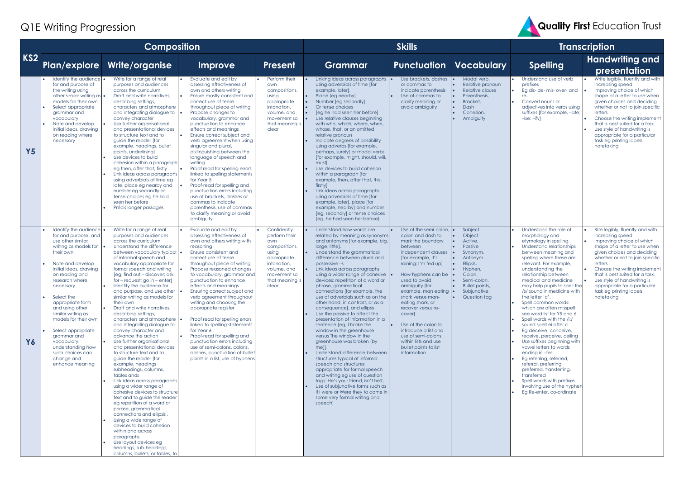|           | <b>Composition</b>                                                                                                                                                                                                                                                                                                                                                                                                                         |                                                                                                                                                                                                                                                                                                                                                                                                                                                                                                                                                                                                                                                                                                                                                                                                                                                                                                                                                                                                                                                                                                                                                                                 |                                                                                                                                                                                                                                                                                                                                                                                                                                                                                                                                                                                                                                                                                                           |                                                                                                                                                        | <b>Skills</b>                                                                                                                                                                                                                                                                                                                                                                                                                                                                                                                                                                                                                                                                                                                                                                                                                                                                                                                                                                                   |                                                                                                                                                                                                                                                                                                                                                                                                                                                 |                                                                                                                                                                   | <b>Transcription</b>                                                                                                                                                                                                                                                                                                                                                                                                                                                                                                                                                                                                                                                                                                                                                                               |                                                                                                                                                                                                                                                                                                                                                                                   |  |
|-----------|--------------------------------------------------------------------------------------------------------------------------------------------------------------------------------------------------------------------------------------------------------------------------------------------------------------------------------------------------------------------------------------------------------------------------------------------|---------------------------------------------------------------------------------------------------------------------------------------------------------------------------------------------------------------------------------------------------------------------------------------------------------------------------------------------------------------------------------------------------------------------------------------------------------------------------------------------------------------------------------------------------------------------------------------------------------------------------------------------------------------------------------------------------------------------------------------------------------------------------------------------------------------------------------------------------------------------------------------------------------------------------------------------------------------------------------------------------------------------------------------------------------------------------------------------------------------------------------------------------------------------------------|-----------------------------------------------------------------------------------------------------------------------------------------------------------------------------------------------------------------------------------------------------------------------------------------------------------------------------------------------------------------------------------------------------------------------------------------------------------------------------------------------------------------------------------------------------------------------------------------------------------------------------------------------------------------------------------------------------------|--------------------------------------------------------------------------------------------------------------------------------------------------------|-------------------------------------------------------------------------------------------------------------------------------------------------------------------------------------------------------------------------------------------------------------------------------------------------------------------------------------------------------------------------------------------------------------------------------------------------------------------------------------------------------------------------------------------------------------------------------------------------------------------------------------------------------------------------------------------------------------------------------------------------------------------------------------------------------------------------------------------------------------------------------------------------------------------------------------------------------------------------------------------------|-------------------------------------------------------------------------------------------------------------------------------------------------------------------------------------------------------------------------------------------------------------------------------------------------------------------------------------------------------------------------------------------------------------------------------------------------|-------------------------------------------------------------------------------------------------------------------------------------------------------------------|----------------------------------------------------------------------------------------------------------------------------------------------------------------------------------------------------------------------------------------------------------------------------------------------------------------------------------------------------------------------------------------------------------------------------------------------------------------------------------------------------------------------------------------------------------------------------------------------------------------------------------------------------------------------------------------------------------------------------------------------------------------------------------------------------|-----------------------------------------------------------------------------------------------------------------------------------------------------------------------------------------------------------------------------------------------------------------------------------------------------------------------------------------------------------------------------------|--|
| KS2       | Plan/explore                                                                                                                                                                                                                                                                                                                                                                                                                               | <b>Write/organise</b>                                                                                                                                                                                                                                                                                                                                                                                                                                                                                                                                                                                                                                                                                                                                                                                                                                                                                                                                                                                                                                                                                                                                                           | <b>Improve</b>                                                                                                                                                                                                                                                                                                                                                                                                                                                                                                                                                                                                                                                                                            | <b>Present</b>                                                                                                                                         | <b>Grammar</b>                                                                                                                                                                                                                                                                                                                                                                                                                                                                                                                                                                                                                                                                                                                                                                                                                                                                                                                                                                                  | <b>Punctuation</b>                                                                                                                                                                                                                                                                                                                                                                                                                              | <b>Vocabulary</b>                                                                                                                                                 | <b>Spelling</b>                                                                                                                                                                                                                                                                                                                                                                                                                                                                                                                                                                                                                                                                                                                                                                                    | <b>Handwriting and</b><br>presentation                                                                                                                                                                                                                                                                                                                                            |  |
| <b>Y5</b> | Identify the audience •<br>for and purpose of<br>the writing using<br>other similar writing as •<br>models for their own<br>Select appropriate<br>grammar and<br>vocabulary,<br>Note and develop<br>initial ideas, drawing<br>on reading where<br>necessary                                                                                                                                                                                | Write for a range of real<br>purposes and audiences<br>across the curriculum<br>Draft and write narratives.<br>describing settings,<br>characters and atmosphere<br>and integrating dialogue to  <br>convey character<br>Use further organisational<br>and presentational devices<br>to structure text and to<br>guide the reader [for<br>example, headings, bullet<br>points, underlininal<br>Use devices to build<br>cohesion within a paragraph<br>eg then, after that, firstly<br>Link ideas across paragraphs<br>using adverbials of time eg<br>late, place eg nearby and<br>number eg secondly or<br>tense choices eg he had<br>seen her before<br>Précis longer passages                                                                                                                                                                                                                                                                                                                                                                                                                                                                                                 | Evaluate and edit by<br>assessing effectiveness of<br>own and others writing<br>Ensure mostly consistent and<br>correct use of tense<br>throughout piece of writing<br>Propose changes to<br>vocabulary, grammar and<br>punctuation to enhance<br>effects and meanings<br>Ensure correct subject and<br>verb agreement when using<br>singular and plural<br>distinguishing between the<br>language of speech and<br>writing<br>Proof read for spelling errors<br>linked to spelling statements<br>for Year 5<br>Proof-read for spelling and<br>punctuation errors including<br>use of brackets, dashes or<br>commas to indicate<br>parenthesis, use of commas<br>to clarify meaning or avoid<br>ambiguity | Perform their<br>own<br>compositions,<br>using<br>appropriate<br>intonation,<br>volume, and<br>movement so<br>that meaning is<br>clear                 | Linking ideas across paragraphs<br>using adverbials of time [for<br>example, later],<br>Place [eg nearby]<br>Number [eg secondly]<br>Or tense choices<br>[eg he had seen her before]<br>Use relative clauses beginning<br>with who, which, where, when,<br>whose, that, or an omitted<br>relative pronoun<br>Indicate degrees of possibility<br>using adverbs [for example,<br>perhaps, surely] or modal verbs<br>[for example, might, should, will,<br>mustl<br>Use devices to build cohesion<br>within a paragraph [for<br>example, then, after that, this,<br>firstlyl<br>Link ideas across paragraphs<br>using adverbials of time [for<br>example, later], place [for<br>example, nearby] and number<br>[eg, secondly] or tense choices<br>[eg, he had seen her before]                                                                                                                                                                                                                     | Use brackets, dashes<br>or commas to<br>indicate parenthesis<br>Use of commas to<br>clarify meaning or<br>avoid ambiguity                                                                                                                                                                                                                                                                                                                       | Modal verb,<br>Relative pronoun<br>Relative clause<br>Parenthesis,<br>Bracket<br>Dash<br>Cohesion,<br>Ambiguity                                                   | Understand use of verb<br>prefixes<br>Eg dis-de-mis-over-and<br>re-<br>Convert nouns or<br>adjectives into verbs using<br>suffixes [for example, -ate;<br>$-ise; -ify$                                                                                                                                                                                                                                                                                                                                                                                                                                                                                                                                                                                                                             | Write legibly, fluently and with<br>increasing speed<br>Improving choice of which<br>shape of a letter to use when<br>given choices and deciding<br>whether or not to join specific<br><b>letters</b><br>Choose the writing implement<br>that is best suited for a task.<br>Use style of handwriting is<br>appropriate for a particular<br>task eg printing labels,<br>notetaking |  |
| Y6        | Identify the audience .<br>for and purpose, and<br>use other similar<br>writing as models for<br>their own<br>Note and develop<br>initial ideas, drawing<br>on reading and<br>research where<br>necessary<br>Select the<br>appropriate form<br>and using other<br>similar writing as<br>models for their own<br>Select appropriate<br>grammar and<br>vocabulary,<br>understanding how<br>such choices can<br>change and<br>enhance meaning | Write for a range of real<br>purposes and audiences<br>across the curriculum<br>Understand the difference<br>between vocabulary typical   •<br>of informal speech and<br>vocabulary appropriate for<br>formal speech and writing<br>[eg, find out - discover; ask<br>$for - request; go in - enter]$<br>Identify the audience for<br>and purpose, and use other $\vert \bullet \vert$<br>similar writing as models for<br>their own<br>Draft and write narratives.<br>describing settings,<br>characters and atmosphere<br>and integrating dialogue to<br>convey character and<br>advance the action<br>Use further organisational<br>and presentational devices<br>to structure text and to<br>guide the reader [for<br>example, headings<br>subheadings, columns,<br>tables ands<br>Link ideas across paragraphs<br>using a wider range of<br>cohesive devices to structure<br>text and to guide the reader<br>eg repetition of a word or<br>phrase, grammatical<br>connections and ellipsis,<br>Using a wide range of<br>devices to build cohesion<br>within and across<br>paragraphs<br>Use layout devices eg<br>headings, sub-headings,<br>columns, bullets, or tables, to | Evaluate and edit by<br>assessing effectiveness of<br>own and others writing with<br>reasoning<br>Ensure consistent and<br>correct use of tense<br>throughout piece of writing<br>Propose reasoned changes<br>to vocabulary, grammar and<br>punctuation to enhance<br>effects and meanings<br>Ensuring correct subject and<br>verb agreement throughout<br>writing and choosing the<br>appropriate register<br>Proof read for spelling errors<br>linked to spelling statements<br>for Year 6<br>Proof-read for spelling and<br>punctuation errors including<br>use of semi-colons, colons,<br>dashes, punctuation of bullet<br>points in a list, use of hyphen:                                           | Confidently<br>perform their<br>own<br>compositions,<br>using<br>appropriate<br>intonation,<br>volume, and<br>movement so<br>that meaning is<br>clear. | Understand how words are<br>related by meaning as synonyms<br>and antonyms [for example, big,<br>large, little]<br>Understand the grammatical<br>difference between plural and<br>$possessive -s$<br>Link ideas across paragraphs<br>using a wider range of cohesive<br>devices: repetition of a word or<br>phrase, grammatical<br>connections [for example, the<br>use of adverbials such as on the<br>other hand, in contrast, or as a<br>consequence], and ellipsis<br>Use the passive to affect the<br>presentation of information in a<br>sentence [eg, I broke the<br>window in the greenhouse<br>versus The window in the<br>greenhouse was broken (by<br>me)].<br>Understand difference between<br>structures typical of informal<br>speech and structures<br>appropriate for formal speech<br>and writing eg use of question<br>tags: He's your friend, isn't he?,<br>Use of subjunctive forms such as<br>If I were or Were they to come in<br>some very formal writing and<br>speech] | Use of the semi-colon,<br>colon and dash to<br>mark the boundary<br>between<br>independent clauses<br>[for example, It's<br>raining; I'm fed up]<br>How hyphens can be<br>used to avoid<br>ambiguity [for<br>example, man eating .<br>shark versus man-<br>eating shark, or<br>recover versus re-<br>cover<br>Use of the colon to<br>introduce a list and<br>use of semi-colons<br>within lists and use<br>bullet points to list<br>information | Subject<br>Object<br>Active,<br>Passive<br>Synonym,<br>Antonym<br>Ellipsis,<br>Hyphen,<br>Colon,<br>Semi-colon,<br>Bullet points,<br>Subjunctive,<br>Question tag | Understand the role of<br>morphology and<br>etymology in spelling.<br>Understand relationships<br>between meaning and<br>spelling where these are<br>relevant. For example,<br>understanding the<br>relationship between<br>medical and medicine<br>may help pupils to spell the<br>/s/ sound in medicine with<br>the letter 'c'.<br>Spell common words:<br>which are often misspelt<br>see word list for Y5 and 6<br>Spell words with the /i:/<br>sound spelt ei after c<br>Eg deceive, conceive,<br>receive, perceive, ceiling<br>Use suffixes beginning with<br>vowel letters to words<br>ending in -fer<br>Eg referring, referred,<br>referral, preferring,<br>preferred, transferring,<br>transferred<br>Spell words with prefixes<br>involving use of the hyphen<br>Eg Re-enter, co-ordinate | Rite legibly, fluently and with<br>increasing speed<br>Improving choice of which<br>shape of a letter to use when<br>given choices and deciding<br>whether or not to join specific<br><b>letters</b><br>Choose the writing implement<br>that is best suited for a task.<br>Use style of handwriting is<br>appropriate for a particular<br>task eg printing labels,<br>notetaking  |  |

# Quality First Education Trust